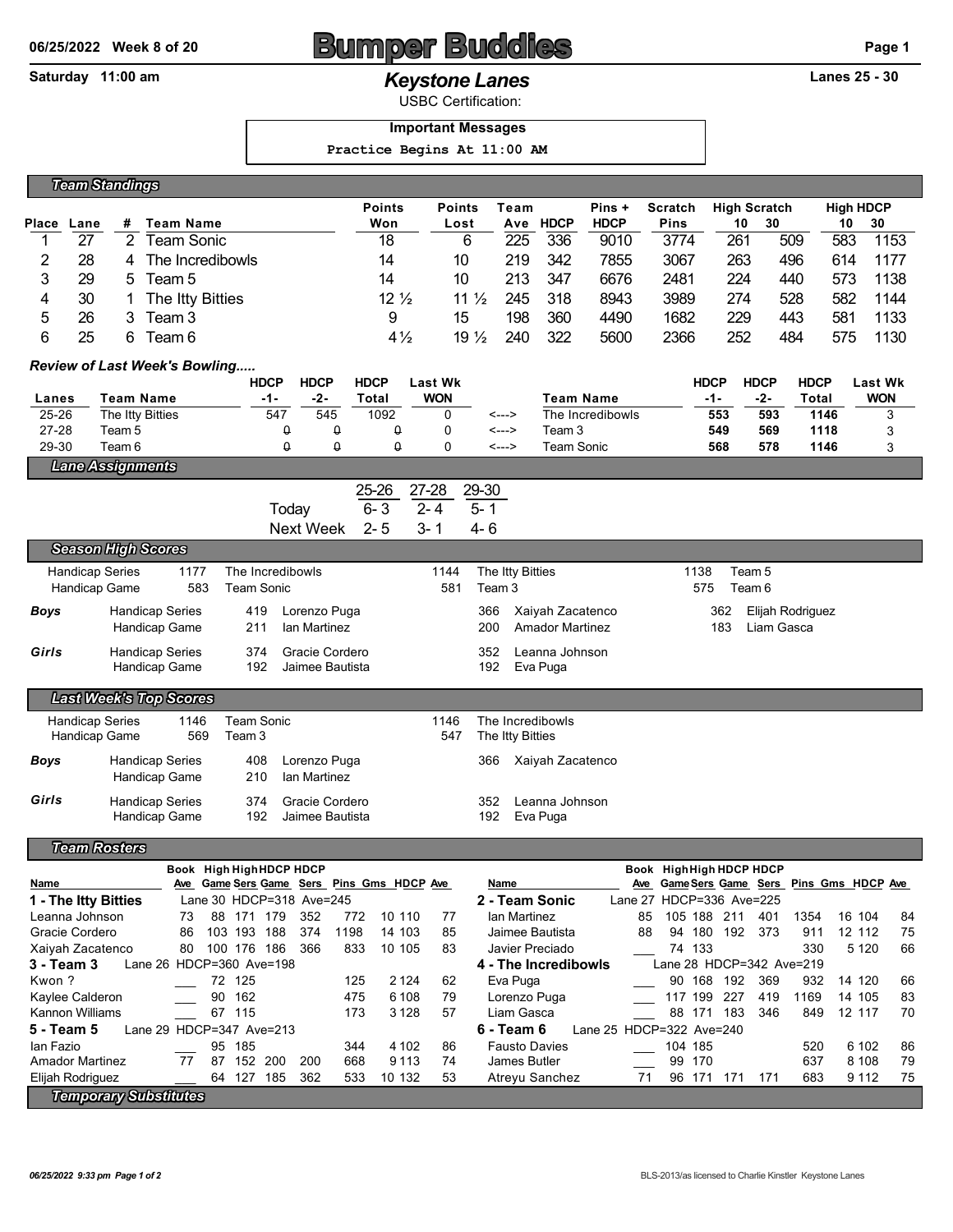# 06/25/2022 Week 8 of 20 **BUMPER BUDDER BUG 20** Page 1

## **Saturday 11:00 am** *Keystone Lanes* **Lanes 25 - 30**

USBC Certification:

### **Important Messages**

 **Practice Begins At 11:00 AM**

|       | <b>Team Standings</b> |    |                  |                 |                       |     |             |             |                |                     |     |                  |      |  |
|-------|-----------------------|----|------------------|-----------------|-----------------------|-----|-------------|-------------|----------------|---------------------|-----|------------------|------|--|
|       |                       |    |                  | <b>Points</b>   | <b>Points</b><br>Team |     |             | Pins +      | <b>Scratch</b> | <b>High Scratch</b> |     | <b>High HDCP</b> |      |  |
| Place | Lane                  | #  | <b>Team Name</b> | Won             | Lost                  | Ave | <b>HDCP</b> | <b>HDCP</b> | <b>Pins</b>    | 10                  | 30  | 10               | 30   |  |
|       | 27                    | 2  | Team Sonic       | 18              | 6                     | 225 | 336         | 9010        | 3774           | 261                 | 509 | 583              | 1153 |  |
|       | 28                    | 4  | The Incredibowls | 14              | 10                    | 219 | 342         | 7855        | 3067           | 263                 | 496 | 614              | 1177 |  |
| 3     | 29                    | 5. | Team 5           | 14              | 10                    | 213 | 347         | 6676        | 2481           | 224                 | 440 | 573              | 1138 |  |
| 4     | 30                    |    | The Itty Bitties | $12\frac{1}{2}$ | 11 $\frac{1}{2}$      | 245 | 318         | 8943        | 3989           | 274                 | 528 | 582              | 1144 |  |
| 5     | 26                    | 3  | Team 3           | 9               | 15                    | 198 | 360         | 4490        | 1682           | 229                 | 443 | 581              | 1133 |  |
| 6     | 25                    | 6  | Team 6           | $4\frac{1}{2}$  | $19\frac{1}{2}$       | 240 | 322         | 5600        | 2366           | 252                 | 484 | 575              | 1130 |  |

### *Review of Last Week's Bowling.....*

|           |                         | HDCP | <b>HDCP</b> | <b>HDCP</b> | Last Wk    |       |                  | <b>HDCP</b> | <b>HDCP</b> | <b>HDCP</b> | Last Wk    |
|-----------|-------------------------|------|-------------|-------------|------------|-------|------------------|-------------|-------------|-------------|------------|
| Lanes     | Team Name               | -1-  | -2-         | Total       | <b>WON</b> |       | Team Name        | -1-         | -2-         | Total       | <b>WON</b> |
| $25 - 26$ | The Itty Bitties        | 547  | 545         | 1092        |            | <---> | The Incredibowls | 553         | 593         | 1146        | ◠<br>J     |
| $27 - 28$ | Геаm 5                  | u    |             |             |            | <---> | Team 3           | 549         | 569         | 1118        | ມ          |
| 29-30     | Team 6                  |      |             |             |            | <---> | Team Sonic       | 568         | 578         | 1146        |            |
|           | <b>Lane Assignments</b> |      |             |             |            |       |                  |             |             |             |            |

|           | 25-26   | 27-28   | 29-30   |
|-----------|---------|---------|---------|
| Today     | ճ- 3    | $2 - 4$ | $5 - 1$ |
| Next Week | $2 - 5$ | 3-1     | 4- 6    |

Next Week 2- 5 3- 1 4- 6

| <b>Handicap Series</b><br>1177 |                               | The Incredibowls | 1144       |                 | The Itty Bitties | 1138   | Team 5                 |     |                  |  |
|--------------------------------|-------------------------------|------------------|------------|-----------------|------------------|--------|------------------------|-----|------------------|--|
| Handicap Game<br>583           |                               |                  | Team Sonic |                 | 581              | Team 3 |                        | 575 |                  |  |
| <b>Boys</b>                    | <b>Handicap Series</b>        |                  | 419        | Lorenzo Puga    |                  | 366    | Xaiyah Zacatenco       | 362 | Elijah Rodriguez |  |
|                                | Handicap Game                 |                  | 211        | Ian Martinez    |                  | 200    | <b>Amador Martinez</b> | 183 | Liam Gasca       |  |
| Girls                          | <b>Handicap Series</b>        |                  | 374        | Gracie Cordero  |                  | 352    | Leanna Johnson         |     |                  |  |
|                                | Handicap Game                 |                  | 192        | Jaimee Bautista |                  | 192    | Eva Puga               |     |                  |  |
|                                | <b>Last Week's Top Scores</b> |                  |            |                 |                  |        |                        |     |                  |  |

| <b>Handicap Series</b><br>Handicap Game |                                         | 1146<br>569 | Team Sonic<br>Team 3 |                                   | 1146<br>547 |              | The Incredibowls<br>The Itty Bitties |  |
|-----------------------------------------|-----------------------------------------|-------------|----------------------|-----------------------------------|-------------|--------------|--------------------------------------|--|
| <b>Boys</b>                             | <b>Handicap Series</b><br>Handicap Game |             | 408<br>210           | Lorenzo Puga<br>lan Martinez      |             | 366          | Xaiyah Zacatenco                     |  |
| Girls                                   | <b>Handicap Series</b><br>Handicap Game |             | 374<br>192           | Gracie Cordero<br>Jaimee Bautista |             | 352<br>192 - | Leanna Johnson<br>Eva Puga           |  |

*Team Rosters*

*Season High Scores*

|                                                                                            |                              |     |     | Book High High HDCP HDCP |     |      |                                       |    |                                        |     |         |            | Book High High HDCP HDCP |      |                   |    |
|--------------------------------------------------------------------------------------------|------------------------------|-----|-----|--------------------------|-----|------|---------------------------------------|----|----------------------------------------|-----|---------|------------|--------------------------|------|-------------------|----|
| Name                                                                                       | Ave                          |     |     |                          |     |      | Game Sers Game Sers Pins Gms HDCP Ave |    | Name                                   | Ave |         |            | Game Sers Game Sers      |      | Pins Gms HDCP Ave |    |
| 1 - The Itty Bitties                                                                       |                              |     |     | Lane 30 HDCP=318 Ave=245 |     |      |                                       |    | 2 - Team Sonic                         |     |         |            | Lane 27 HDCP=336 Ave=225 |      |                   |    |
| Leanna Johnson                                                                             | 73                           | 88  | 171 | 179                      | 352 | 772  | 10 110                                | 77 | Ian Martinez                           | 85  | 105 188 | 211        | 401                      | 1354 | 16 104            | 84 |
| Gracie Cordero                                                                             | 86                           | 103 | 193 | 188                      | 374 | 1198 | 14 103                                | 85 | Jaimee Bautista                        | 88  | 94      | 180<br>192 | 373                      | 911  | 12 112            | 75 |
| Xaiyah Zacatenco                                                                           | 80                           | 100 | 176 | 186                      | 366 | 833  | 10 105                                | 83 | Javier Preciado                        |     | 74 133  |            |                          | 330  | 5 1 2 0           | 66 |
| Lane 28 HDCP=342 Ave=219<br>Lane 26 HDCP=360 Ave=198<br>4 - The Incredibowls<br>3 - Team 3 |                              |     |     |                          |     |      |                                       |    |                                        |     |         |            |                          |      |                   |    |
| Kwon?                                                                                      |                              | 72  | 125 |                          |     | 125  | 2 1 2 4                               | 62 | Eva Puga                               |     | 90      | 168<br>192 | 369                      | 932  | 14 120            | 66 |
| Kaylee Calderon                                                                            |                              | 90  | 162 |                          |     | 475  | 6 1 0 8                               | 79 | Lorenzo Puga                           |     | 117 199 | 227        | 419                      | 1169 | 14 105            | 83 |
| <b>Kannon Williams</b>                                                                     |                              | 67  | 115 |                          |     | 173  | 3 1 2 8                               | 57 | Liam Gasca                             |     | 88      | 171<br>183 | 346                      | 849  | 12 117            | 70 |
| Lane 29 HDCP=347 Ave=213<br>5 - Team 5                                                     |                              |     |     |                          |     |      |                                       |    | Lane 25 HDCP=322 Ave=240<br>6 - Team 6 |     |         |            |                          |      |                   |    |
| lan Fazio                                                                                  |                              | 95  | 185 |                          |     | 344  | 4 1 0 2                               | 86 | <b>Fausto Davies</b>                   |     | 104 185 |            |                          | 520  | 6 10 2            | 86 |
| <b>Amador Martinez</b>                                                                     | 77                           | 87  | 152 | 200                      | 200 | 668  | 9 1 1 3                               | 74 | James Butler                           |     | 99      | 170        |                          | 637  | 8 1 0 8           | 79 |
| Elijah Rodriguez                                                                           |                              | 64  | 127 | 185                      | 362 | 533  | 10 132                                | 53 | Atreyu Sanchez                         | 71  | 96      | 171<br>171 | 171                      | 683  | 9 1 1 2           | 75 |
|                                                                                            | <b>Temporary Substitutes</b> |     |     |                          |     |      |                                       |    |                                        |     |         |            |                          |      |                   |    |